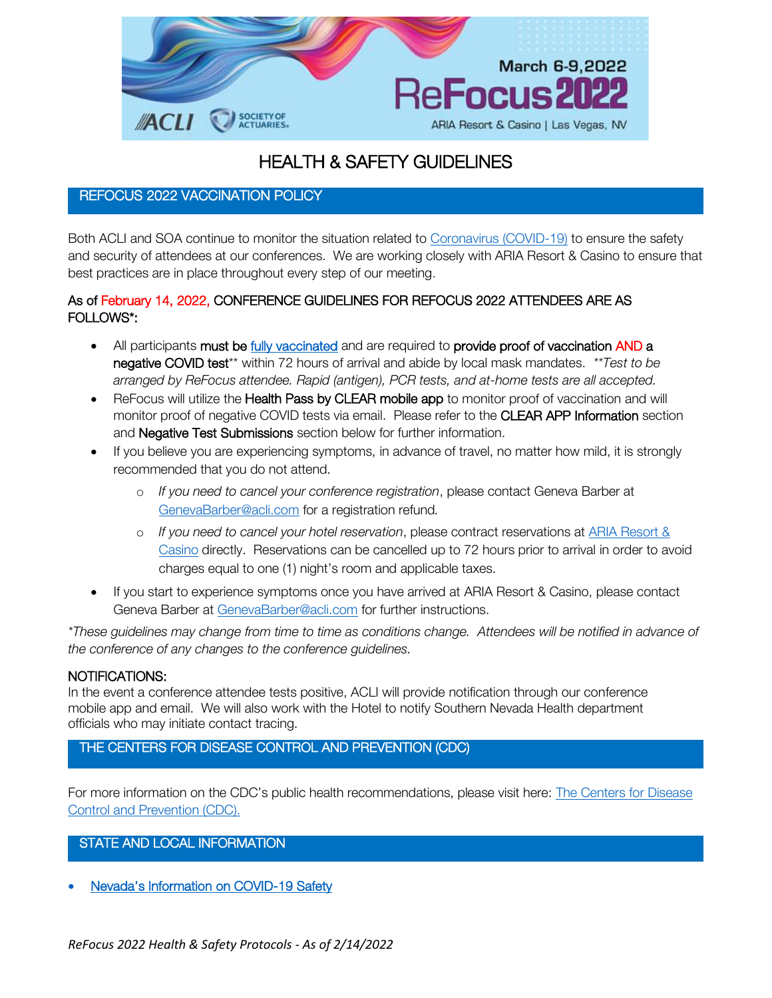

# HEALTH & SAFETY GUIDELINES

# REFOCUS 2022 VACCINATION POLICY

Both ACLI and SOA continue to monitor the situation related to [Coronavirus \(COVID-19\)](https://www.who.int/emergencies/diseases/novel-coronavirus-2019/events-as-they-happen) to ensure the safety and security of attendees at our conferences. We are working closely with ARIA Resort & Casino to ensure that best practices are in place throughout every step of our meeting.

## As of February 14, 2022, CONFERENCE GUIDELINES FOR REFOCUS 2022 ATTENDEES ARE AS FOLLOWS\*:

- All participants must be *fully vaccinated* and are required to provide proof of vaccination AND a negative COVID test\*\* within 72 hours of arrival and abide by local mask mandates. *\*\*Test to be arranged by ReFocus attendee. Rapid (antigen), PCR tests, and at-home tests are all accepted.*
- ReFocus will utilize the Health Pass by CLEAR mobile app to monitor proof of vaccination and will monitor proof of negative COVID tests via email. Please refer to the CLEAR APP Information section and Negative Test Submissions section below for further information.
- If you believe you are experiencing symptoms, in advance of travel, no matter how mild, it is strongly recommended that you do not attend.
	- o *If you need to cancel your conference registration*, please contact Geneva Barber at [GenevaBarber@acli.com](mailto:GenevaBarber@acli.com) for a registration refund*.*
	- o *If you need to cancel your hotel reservation*, please contract reservations at [ARIA Resort &](https://aria.mgmresorts.com/en.html)  [Casino](https://aria.mgmresorts.com/en.html) directly. Reservations can be cancelled up to 72 hours prior to arrival in order to avoid charges equal to one (1) night's room and applicable taxes.
- If you start to experience symptoms once you have arrived at ARIA Resort & Casino, please contact Geneva Barber at [GenevaBarber@acli.com](mailto:GenevaBarber@acli.com) for further instructions.

*\*These guidelines may change from time to time as conditions change. Attendees will be notified in advance of the conference of any changes to the conference guidelines.*

## NOTIFICATIONS:

In the event a conference attendee tests positive, ACLI will provide notification through our conference mobile app and email. We will also work with the Hotel to notify Southern Nevada Health department officials who may initiate contact tracing.

THE CENTERS FOR DISEASE CONTROL AND PREVENTION (CDC)

For more information on the CDC's public health recommendations, please visit here: [The Centers for Disease](https://www.cdc.gov/coronavirus/2019-ncov/index.html)  [Control and Prevention \(CDC\).](https://www.cdc.gov/coronavirus/2019-ncov/index.html)

STATE AND LOCAL INFORMATION

• Nevada's [Information on COVID-19 Safety](https://nvhealthresponse.nv.gov/)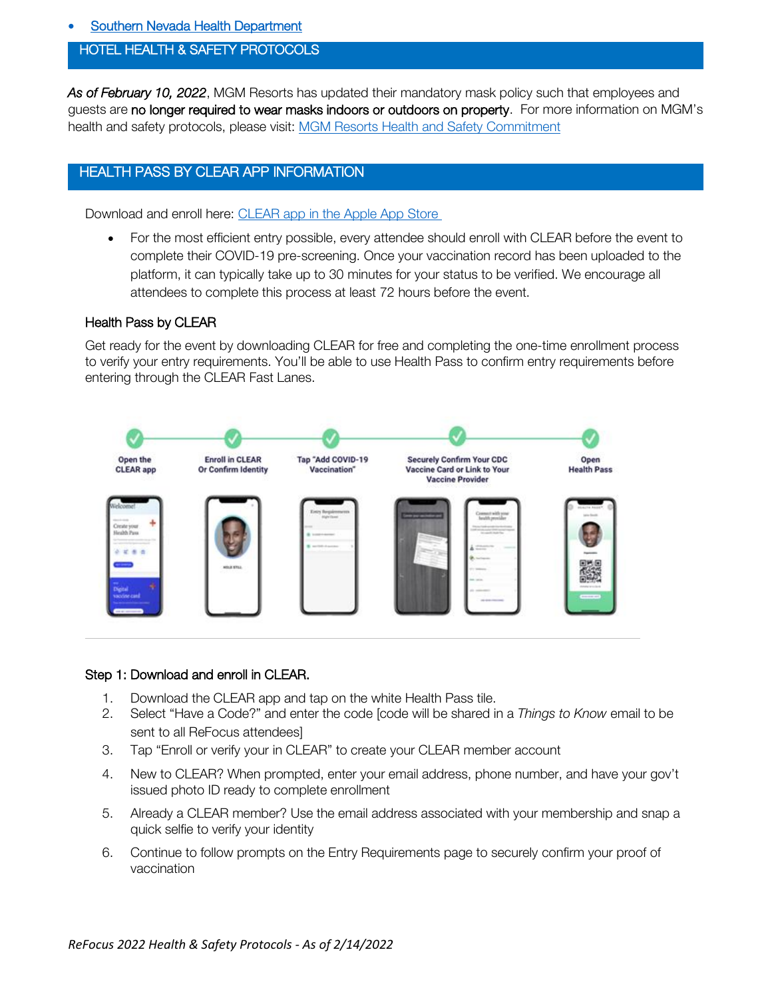**Southern Nevada Health Department** 

## HOTEL HEALTH & SAFETY PROTOCOLS •

*As of February 10, 2022*, MGM Resorts has updated their mandatory mask policy such that employees and guests are no longer required to wear masks indoors or outdoors on property. For more information on MGM's health and safety protocols, please visit: [MGM Resorts Health and Safety Commitment](https://www.mgmresorts.com/content/dam/MGM/corporate/corporate-initiatives/safely/our-health-and-safety-commitment.pdf)

## HEALTH PASS BY CLEAR APP INFORMATION

Download and enroll here: [CLEAR app in the Apple App Store](https://nam02.safelinks.protection.outlook.com/?url=https%3A%2F%2Fapps.apple.com%2Fus%2Fapp%2Fclear-fast-touchless-access%2Fid1436333504&data=04%7C01%7Cmackenziecurtin%40acli.com%7C109cc0be4b1b4d0d290208d97887ada9%7Cff36238ffa774641891941d6d36ca6ea%7C0%7C0%7C637673346405911518%7CUnknown%7CTWFpbGZsb3d8eyJWIjoiMC4wLjAwMDAiLCJQIjoiV2luMzIiLCJBTiI6Ik1haWwiLCJXVCI6Mn0%3D%7C1000&sdata=LTA5cBqzFXmujbdJmTAhWn5u5igAwSBsL8o3BigqPuc%3D&reserved=0)

• For the most efficient entry possible, every attendee should enroll with CLEAR before the event to complete their COVID-19 pre-screening. Once your vaccination record has been uploaded to the platform, it can typically take up to 30 minutes for your status to be verified. We encourage all attendees to complete this process at least 72 hours before the event.

#### Health Pass by CLEAR

Get ready for the event by downloading CLEAR for free and completing the one-time enrollment process to verify your entry requirements. You'll be able to use Health Pass to confirm entry requirements before entering through the CLEAR Fast Lanes.



#### Step 1: Download and enroll in CLEAR.

- 1. Download the CLEAR app and tap on the white Health Pass tile.
- 2. Select "Have a Code?" and enter the code [code will be shared in a *Things to Know* email to be sent to all ReFocus attendees]
- 3. Tap "Enroll or verify your in CLEAR" to create your CLEAR member account
- 4. New to CLEAR? When prompted, enter your email address, phone number, and have your gov't issued photo ID ready to complete enrollment
- 5. Already a CLEAR member? Use the email address associated with your membership and snap a quick selfie to verify your identity
- 6. Continue to follow prompts on the Entry Requirements page to securely confirm your proof of vaccination